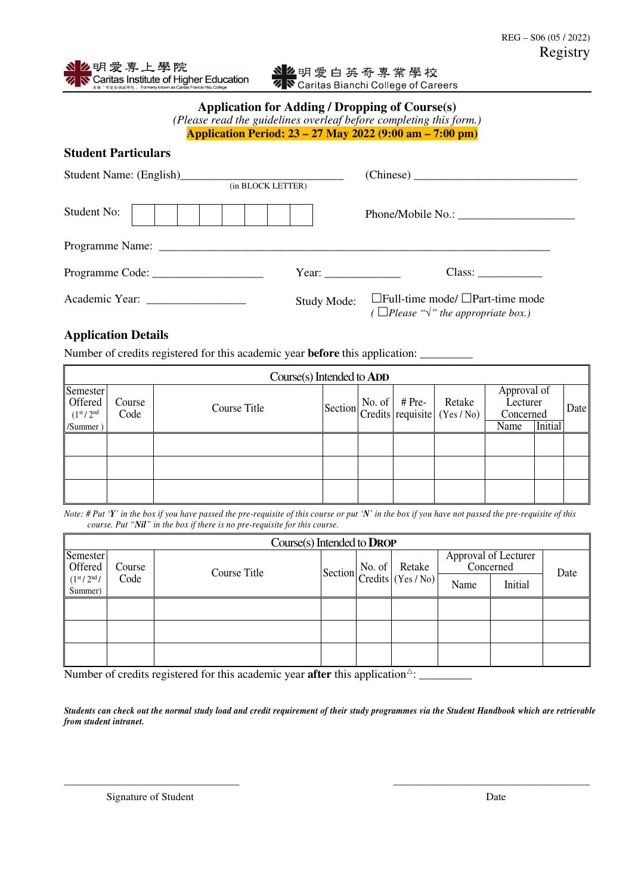## **Application for Adding / Dropping of Course(s)**

| (Please read the guidelines overleaf before completing this form.) |  |
|--------------------------------------------------------------------|--|
| Application Period: 23 – 27 May 2022 (9:00 am – 7:00 pm)           |  |

| <b>Student Particulars</b> |
|----------------------------|
|                            |

|             | (in BLOCK LETTER)  |                                                                                                       |
|-------------|--------------------|-------------------------------------------------------------------------------------------------------|
| Student No: |                    |                                                                                                       |
|             |                    |                                                                                                       |
|             | Year:              | Class:                                                                                                |
|             | <b>Study Mode:</b> | $\Box$ Full-time mode/ $\Box$ Part-time mode<br>( $\Box$ Please " $\sqrt{\ }$ " the appropriate box.) |

## **Application Details**

Number of credits registered for this academic year **before** this application:

|                                                                        | Course(s) Intended to ADD |              |  |  |  |                                                       |                                                         |  |      |  |
|------------------------------------------------------------------------|---------------------------|--------------|--|--|--|-------------------------------------------------------|---------------------------------------------------------|--|------|--|
| Semester<br>Offered<br>(1 <sup>st</sup> /2 <sup>nd</sup> )<br>/Summer) | Course<br>Code            | Course Title |  |  |  | Section No. of # Pre-<br>Credits requisite (Yes / No) | Approval of<br>Lecturer<br>Concerned<br>Initial<br>Name |  | Date |  |
|                                                                        |                           |              |  |  |  |                                                       |                                                         |  |      |  |
|                                                                        |                           |              |  |  |  |                                                       |                                                         |  |      |  |
|                                                                        |                           |              |  |  |  |                                                       |                                                         |  |      |  |

*Note: # Put 'Y' in the box if you have passed the pre-requisite of this course or put 'N' in the box if you have not passed the pre-requisite of this course. Put "Nil" in the box if there is no pre-requisite for this course.* 

| Course(s) Intended to DROP                     |        |              |  |  |                                                                                                                                               |           |                      |      |  |
|------------------------------------------------|--------|--------------|--|--|-----------------------------------------------------------------------------------------------------------------------------------------------|-----------|----------------------|------|--|
| Semester<br>Offered                            | Course | Course Title |  |  | Section $\begin{bmatrix} \text{No. of} \\ \text{Credits} \end{bmatrix} \begin{bmatrix} \text{Retake} \\ \text{Yes} / \text{No} \end{bmatrix}$ | Concerned | Approval of Lecturer | Date |  |
| (1 <sup>st</sup> /2 <sup>nd</sup> )<br>Summer) | Code   |              |  |  |                                                                                                                                               | Name      | Initial              |      |  |
|                                                |        |              |  |  |                                                                                                                                               |           |                      |      |  |
|                                                |        |              |  |  |                                                                                                                                               |           |                      |      |  |
|                                                |        |              |  |  |                                                                                                                                               |           |                      |      |  |

Number of credits registered for this academic year **after** this application<sup> $\triangle$ </sup>:

*Students can check out the normal study load and credit requirement of their study programmes via the Student Handbook which are retrievable from student intranet.*

*\_\_\_\_\_\_\_\_\_\_\_\_\_\_\_\_\_\_\_\_\_\_\_\_\_\_\_\_\_\_\_\_\_ \_\_\_\_\_\_\_\_\_\_\_\_\_\_\_\_\_\_\_\_\_\_\_\_\_\_\_\_\_\_\_\_\_\_\_\_\_* 

Signature of Student Date  $\Box$